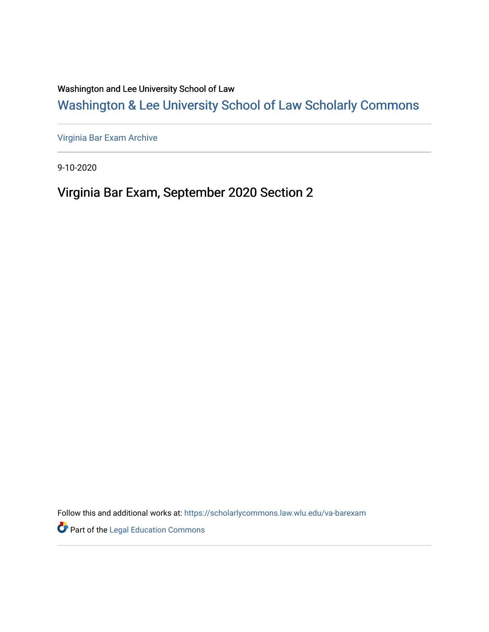Washington and Lee University School of Law

# [Washington & Lee University School of Law Scholarly Commons](https://scholarlycommons.law.wlu.edu/)

[Virginia Bar Exam Archive](https://scholarlycommons.law.wlu.edu/va-barexam)

9-10-2020

# Virginia Bar Exam, September 2020 Section 2

Follow this and additional works at: [https://scholarlycommons.law.wlu.edu/va-barexam](https://scholarlycommons.law.wlu.edu/va-barexam?utm_source=scholarlycommons.law.wlu.edu%2Fva-barexam%2F216&utm_medium=PDF&utm_campaign=PDFCoverPages) 

**Part of the Legal Education Commons**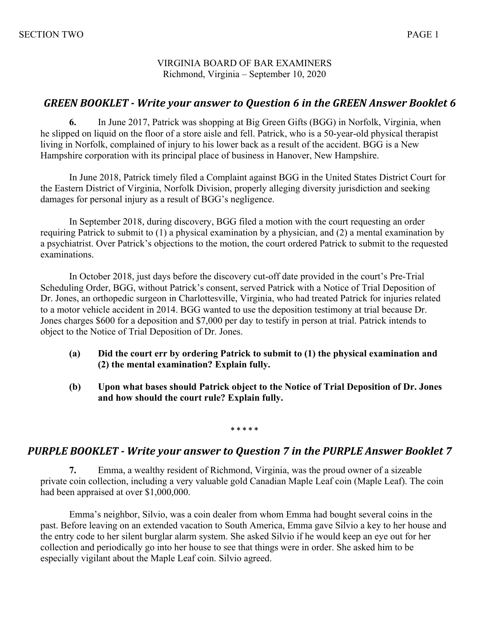VIRGINIA BOARD OF BAR EXAMINERS Richmond, Virginia – September 10, 2020

## **GREEN BOOKLET** - Write your answer to Question 6 in the GREEN Answer Booklet 6

**6.** In June 2017, Patrick was shopping at Big Green Gifts (BGG) in Norfolk, Virginia, when he slipped on liquid on the floor of a store aisle and fell. Patrick, who is a 50-year-old physical therapist living in Norfolk, complained of injury to his lower back as a result of the accident. BGG is a New Hampshire corporation with its principal place of business in Hanover, New Hampshire.

In June 2018, Patrick timely filed a Complaint against BGG in the United States District Court for the Eastern District of Virginia, Norfolk Division, properly alleging diversity jurisdiction and seeking damages for personal injury as a result of BGG's negligence.

In September 2018, during discovery, BGG filed a motion with the court requesting an order requiring Patrick to submit to (1) a physical examination by a physician, and (2) a mental examination by a psychiatrist. Over Patrick's objections to the motion, the court ordered Patrick to submit to the requested examinations.

In October 2018, just days before the discovery cut-off date provided in the court's Pre-Trial Scheduling Order, BGG, without Patrick's consent, served Patrick with a Notice of Trial Deposition of Dr. Jones, an orthopedic surgeon in Charlottesville, Virginia, who had treated Patrick for injuries related to a motor vehicle accident in 2014. BGG wanted to use the deposition testimony at trial because Dr. Jones charges \$600 for a deposition and \$7,000 per day to testify in person at trial. Patrick intends to object to the Notice of Trial Deposition of Dr. Jones.

- **(a) Did the court err by ordering Patrick to submit to (1) the physical examination and (2) the mental examination? Explain fully.**
- **(b) Upon what bases should Patrick object to the Notice of Trial Deposition of Dr. Jones and how should the court rule? Explain fully.**

**\* \* \* \* \***

## **PURPLE BOOKLET** - Write your answer to Question 7 in the PURPLE Answer Booklet 7

**7.** Emma, a wealthy resident of Richmond, Virginia, was the proud owner of a sizeable private coin collection, including a very valuable gold Canadian Maple Leaf coin (Maple Leaf). The coin had been appraised at over \$1,000,000.

Emma's neighbor, Silvio, was a coin dealer from whom Emma had bought several coins in the past. Before leaving on an extended vacation to South America, Emma gave Silvio a key to her house and the entry code to her silent burglar alarm system. She asked Silvio if he would keep an eye out for her collection and periodically go into her house to see that things were in order. She asked him to be especially vigilant about the Maple Leaf coin. Silvio agreed.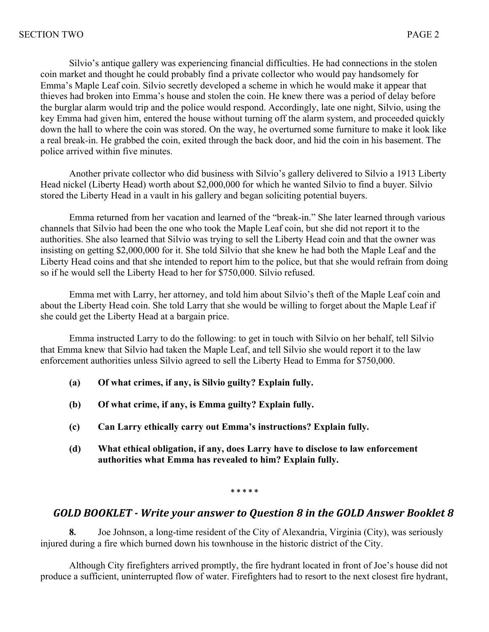Silvio's antique gallery was experiencing financial difficulties. He had connections in the stolen coin market and thought he could probably find a private collector who would pay handsomely for Emma's Maple Leaf coin. Silvio secretly developed a scheme in which he would make it appear that thieves had broken into Emma's house and stolen the coin. He knew there was a period of delay before the burglar alarm would trip and the police would respond. Accordingly, late one night, Silvio, using the key Emma had given him, entered the house without turning off the alarm system, and proceeded quickly down the hall to where the coin was stored. On the way, he overturned some furniture to make it look like a real break-in. He grabbed the coin, exited through the back door, and hid the coin in his basement. The police arrived within five minutes.

Another private collector who did business with Silvio's gallery delivered to Silvio a 1913 Liberty Head nickel (Liberty Head) worth about \$2,000,000 for which he wanted Silvio to find a buyer. Silvio stored the Liberty Head in a vault in his gallery and began soliciting potential buyers.

Emma returned from her vacation and learned of the "break-in." She later learned through various channels that Silvio had been the one who took the Maple Leaf coin, but she did not report it to the authorities. She also learned that Silvio was trying to sell the Liberty Head coin and that the owner was insisting on getting \$2,000,000 for it. She told Silvio that she knew he had both the Maple Leaf and the Liberty Head coins and that she intended to report him to the police, but that she would refrain from doing so if he would sell the Liberty Head to her for \$750,000. Silvio refused.

Emma met with Larry, her attorney, and told him about Silvio's theft of the Maple Leaf coin and about the Liberty Head coin. She told Larry that she would be willing to forget about the Maple Leaf if she could get the Liberty Head at a bargain price.

Emma instructed Larry to do the following: to get in touch with Silvio on her behalf, tell Silvio that Emma knew that Silvio had taken the Maple Leaf, and tell Silvio she would report it to the law enforcement authorities unless Silvio agreed to sell the Liberty Head to Emma for \$750,000.

- **(a) Of what crimes, if any, is Silvio guilty? Explain fully.**
- **(b) Of what crime, if any, is Emma guilty? Explain fully.**
- **(c) Can Larry ethically carry out Emma's instructions? Explain fully.**
- **(d) What ethical obligation, if any, does Larry have to disclose to law enforcement authorities what Emma has revealed to him? Explain fully.**

#### **\* \* \* \* \***

## GOLD BOOKLET - Write your answer to Question 8 in the GOLD Answer Booklet 8

**8.** Joe Johnson, a long-time resident of the City of Alexandria, Virginia (City), was seriously injured during a fire which burned down his townhouse in the historic district of the City.

Although City firefighters arrived promptly, the fire hydrant located in front of Joe's house did not produce a sufficient, uninterrupted flow of water. Firefighters had to resort to the next closest fire hydrant,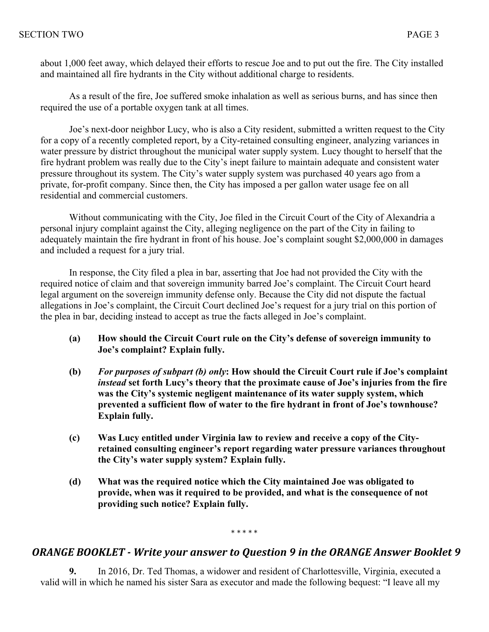about 1,000 feet away, which delayed their efforts to rescue Joe and to put out the fire. The City installed and maintained all fire hydrants in the City without additional charge to residents.

As a result of the fire, Joe suffered smoke inhalation as well as serious burns, and has since then required the use of a portable oxygen tank at all times.

Joe's next-door neighbor Lucy, who is also a City resident, submitted a written request to the City for a copy of a recently completed report, by a City-retained consulting engineer, analyzing variances in water pressure by district throughout the municipal water supply system. Lucy thought to herself that the fire hydrant problem was really due to the City's inept failure to maintain adequate and consistent water pressure throughout its system. The City's water supply system was purchased 40 years ago from a private, for-profit company. Since then, the City has imposed a per gallon water usage fee on all residential and commercial customers.

Without communicating with the City, Joe filed in the Circuit Court of the City of Alexandria a personal injury complaint against the City, alleging negligence on the part of the City in failing to adequately maintain the fire hydrant in front of his house. Joe's complaint sought \$2,000,000 in damages and included a request for a jury trial.

In response, the City filed a plea in bar, asserting that Joe had not provided the City with the required notice of claim and that sovereign immunity barred Joe's complaint. The Circuit Court heard legal argument on the sovereign immunity defense only. Because the City did not dispute the factual allegations in Joe's complaint, the Circuit Court declined Joe's request for a jury trial on this portion of the plea in bar, deciding instead to accept as true the facts alleged in Joe's complaint.

- **(a) How should the Circuit Court rule on the City's defense of sovereign immunity to Joe's complaint? Explain fully.**
- **(b)** *For purposes of subpart (b) only***: How should the Circuit Court rule if Joe's complaint**  *instead* **set forth Lucy's theory that the proximate cause of Joe's injuries from the fire was the City's systemic negligent maintenance of its water supply system, which prevented a sufficient flow of water to the fire hydrant in front of Joe's townhouse? Explain fully.**
- **(c) Was Lucy entitled under Virginia law to review and receive a copy of the Cityretained consulting engineer's report regarding water pressure variances throughout the City's water supply system? Explain fully.**
- **(d) What was the required notice which the City maintained Joe was obligated to provide, when was it required to be provided, and what is the consequence of not providing such notice? Explain fully.**

#### \* \* \* \* \*

## *ORANGE BOOKLET - Write your answer to Question 9 in the ORANGE Answer Booklet 9*

**9.** In 2016, Dr. Ted Thomas, a widower and resident of Charlottesville, Virginia, executed a valid will in which he named his sister Sara as executor and made the following bequest: "I leave all my